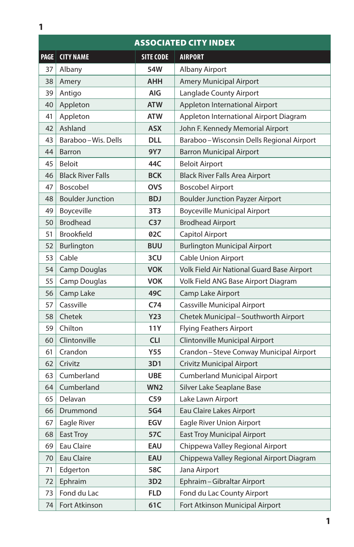| <b>ASSOCIATED CITY INDEX</b> |                          |                  |                                            |  |
|------------------------------|--------------------------|------------------|--------------------------------------------|--|
| <b>PAGE</b>                  | <b>CITY NAME</b>         | <b>SITE CODE</b> | <b>AIRPORT</b>                             |  |
| 37                           | Albany                   | 54W              | Albany Airport                             |  |
| 38                           | Amery                    | <b>AHH</b>       | <b>Amery Municipal Airport</b>             |  |
| 39                           | Antigo                   | AIG              | Langlade County Airport                    |  |
| 40                           | Appleton                 | <b>ATW</b>       | Appleton International Airport             |  |
| 41                           | Appleton                 | <b>ATW</b>       | Appleton International Airport Diagram     |  |
| 42                           | Ashland                  | <b>ASX</b>       | John F. Kennedy Memorial Airport           |  |
| 43                           | Baraboo - Wis. Dells     | <b>DLL</b>       | Baraboo-Wisconsin Dells Regional Airport   |  |
| 44                           | <b>Barron</b>            | 9Y7              | <b>Barron Municipal Airport</b>            |  |
| 45                           | <b>Beloit</b>            | 44C              | <b>Beloit Airport</b>                      |  |
| 46                           | <b>Black River Falls</b> | <b>BCK</b>       | <b>Black River Falls Area Airport</b>      |  |
| 47                           | Boscobel                 | <b>OVS</b>       | <b>Boscobel Airport</b>                    |  |
| 48                           | <b>Boulder Junction</b>  | <b>BDJ</b>       | <b>Boulder Junction Payzer Airport</b>     |  |
| 49                           | Boyceville               | 3T <sub>3</sub>  | <b>Boyceville Municipal Airport</b>        |  |
| 50                           | <b>Brodhead</b>          | C <sub>37</sub>  | <b>Brodhead Airport</b>                    |  |
| 51                           | <b>Brookfield</b>        | 02C              | Capitol Airport                            |  |
| 52                           | Burlington               | <b>BUU</b>       | <b>Burlington Municipal Airport</b>        |  |
| 53                           | Cable                    | 3CU              | <b>Cable Union Airport</b>                 |  |
| 54                           | <b>Camp Douglas</b>      | <b>VOK</b>       | Volk Field Air National Guard Base Airport |  |
| 55                           | Camp Douglas             | <b>VOK</b>       | Volk Field ANG Base Airport Diagram        |  |
| 56                           | Camp Lake                | 49C              | Camp Lake Airport                          |  |
| 57                           | Cassville                | C <sub>74</sub>  | Cassville Municipal Airport                |  |
| 58                           | Chetek                   | <b>Y23</b>       | Chetek Municipal - Southworth Airport      |  |
| 59                           | Chilton                  | 11Y              | <b>Flying Feathers Airport</b>             |  |
| 60                           | Clintonville             | <b>CLI</b>       | Clintonville Municipal Airport             |  |
| 61                           | Crandon                  | <b>Y55</b>       | Crandon-Steve Conway Municipal Airport     |  |
| 62                           | Crivitz                  | 3D1              | <b>Crivitz Municipal Airport</b>           |  |
| 63                           | Cumberland               | <b>UBE</b>       | <b>Cumberland Municipal Airport</b>        |  |
| 64                           | Cumberland               | WN <sub>2</sub>  | Silver Lake Seaplane Base                  |  |
| 65                           | Delavan                  | C59              | Lake Lawn Airport                          |  |
| 66                           | Drummond                 | 5G4              | Eau Claire Lakes Airport                   |  |
| 67                           | Eagle River              | EGV              | Eagle River Union Airport                  |  |
| 68                           | East Troy                | 57C              | <b>East Troy Municipal Airport</b>         |  |
| 69                           | Eau Claire               | EAU              | Chippewa Valley Regional Airport           |  |
| 70                           | Eau Claire               | EAU              | Chippewa Valley Regional Airport Diagram   |  |
| 71                           | Edgerton                 | 58C              | Jana Airport                               |  |
| 72                           | Ephraim                  | 3D <sub>2</sub>  | Ephraim - Gibraltar Airport                |  |
| 73                           | Fond du Lac              | <b>FLD</b>       | Fond du Lac County Airport                 |  |
| 74                           | Fort Atkinson            | 61C              | Fort Atkinson Municipal Airport            |  |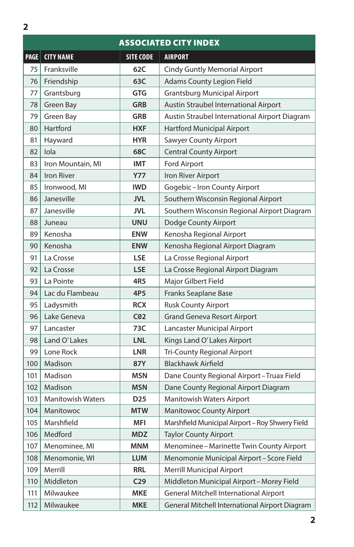|             | <b>ASSOCIATED CITY INDEX</b> |                  |                                                 |  |  |
|-------------|------------------------------|------------------|-------------------------------------------------|--|--|
| <b>PAGE</b> | <b>CITY NAME</b>             | <b>SITE CODE</b> | <b>AIRPORT</b>                                  |  |  |
| 75          | Franksville                  | 62C              | <b>Cindy Guntly Memorial Airport</b>            |  |  |
| 76          | Friendship                   | 63C              | <b>Adams County Legion Field</b>                |  |  |
| 77          | Grantsburg                   | <b>GTG</b>       | <b>Grantsburg Municipal Airport</b>             |  |  |
| 78          | Green Bay                    | <b>GRB</b>       | Austin Straubel International Airport           |  |  |
| 79          | Green Bay                    | <b>GRB</b>       | Austin Straubel International Airport Diagram   |  |  |
| 80          | Hartford                     | <b>HXF</b>       | <b>Hartford Municipal Airport</b>               |  |  |
| 81          | Hayward                      | <b>HYR</b>       | <b>Sawyer County Airport</b>                    |  |  |
| 82          | lola                         | 68C              | <b>Central County Airport</b>                   |  |  |
| 83          | Iron Mountain, MI            | <b>IMT</b>       | Ford Airport                                    |  |  |
| 84          | <b>Iron River</b>            | <b>Y77</b>       | Iron River Airport                              |  |  |
| 85          | Ironwood, MI                 | <b>IWD</b>       | Gogebic-Iron County Airport                     |  |  |
| 86          | Janesville                   | <b>JVL</b>       | Southern Wisconsin Regional Airport             |  |  |
| 87          | Janesville                   | <b>JVL</b>       | Southern Wisconsin Regional Airport Diagram     |  |  |
| 88          | Juneau                       | <b>UNU</b>       | Dodge County Airport                            |  |  |
| 89          | Kenosha                      | <b>ENW</b>       | Kenosha Regional Airport                        |  |  |
| 90          | Kenosha                      | <b>ENW</b>       | Kenosha Regional Airport Diagram                |  |  |
| 91          | La Crosse                    | <b>LSE</b>       | La Crosse Regional Airport                      |  |  |
| 92          | La Crosse                    | <b>LSE</b>       | La Crosse Regional Airport Diagram              |  |  |
| 93          | La Pointe                    | 4R5              | Major Gilbert Field                             |  |  |
| 94          | Lac du Flambeau              | 4P <sub>5</sub>  | Franks Seaplane Base                            |  |  |
| 95          | Ladysmith                    | <b>RCX</b>       | <b>Rusk County Airport</b>                      |  |  |
| 96          | Lake Geneva                  | C <sub>02</sub>  | <b>Grand Geneva Resort Airport</b>              |  |  |
| 97          | Lancaster                    | 73C              | Lancaster Municipal Airport                     |  |  |
| 98          | Land O'Lakes                 | <b>LNL</b>       | Kings Land O' Lakes Airport                     |  |  |
| 99          | Lone Rock                    | LNR              | <b>Tri-County Regional Airport</b>              |  |  |
| 100         | Madison                      | <b>87Y</b>       | <b>Blackhawk Airfield</b>                       |  |  |
| 101         | Madison                      | MSN              | Dane County Regional Airport-Truax Field        |  |  |
| 102         | Madison                      | <b>MSN</b>       | Dane County Regional Airport Diagram            |  |  |
| 103         | <b>Manitowish Waters</b>     | D25              | Manitowish Waters Airport                       |  |  |
| 104         | Manitowoc                    | <b>MTW</b>       | <b>Manitowoc County Airport</b>                 |  |  |
| 105         | Marshfield                   | <b>MFI</b>       | Marshfield Municipal Airport - Roy Shwery Field |  |  |
| 106         | Medford                      | <b>MDZ</b>       | <b>Taylor County Airport</b>                    |  |  |
| 107         | Menominee, MI                | <b>MNM</b>       | Menominee - Marinette Twin County Airport       |  |  |
| 108         | Menomonie, WI                | <b>LUM</b>       | Menomonie Municipal Airport-Score Field         |  |  |
| 109         | Merrill                      | <b>RRL</b>       | <b>Merrill Municipal Airport</b>                |  |  |
| 110         | Middleton                    | C <sub>29</sub>  | Middleton Municipal Airport-Morey Field         |  |  |
| 111         | Milwaukee                    | <b>MKE</b>       | General Mitchell International Airport          |  |  |
| 112         | Milwaukee                    | <b>MKE</b>       | General Mitchell International Airport Diagram  |  |  |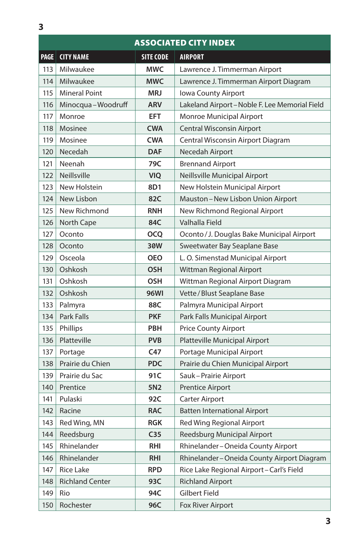| <b>ASSOCIATED CITY INDEX</b> |                        |                  |                                              |  |
|------------------------------|------------------------|------------------|----------------------------------------------|--|
| <b>PAGE</b>                  | <b>CITY NAME</b>       | <b>SITE CODE</b> | <b>AIRPORT</b>                               |  |
| 113                          | Milwaukee              | <b>MWC</b>       | Lawrence J. Timmerman Airport                |  |
| 114                          | Milwaukee              | <b>MWC</b>       | Lawrence J. Timmerman Airport Diagram        |  |
| 115                          | <b>Mineral Point</b>   | <b>MRJ</b>       | Iowa County Airport                          |  |
| 116                          | Minocqua-Woodruff      | <b>ARV</b>       | Lakeland Airport-Noble F. Lee Memorial Field |  |
| 117                          | Monroe                 | <b>EFT</b>       | Monroe Municipal Airport                     |  |
| 118                          | Mosinee                | <b>CWA</b>       | Central Wisconsin Airport                    |  |
| 119                          | Mosinee                | <b>CWA</b>       | Central Wisconsin Airport Diagram            |  |
| 120                          | Necedah                | <b>DAF</b>       | Necedah Airport                              |  |
| 121                          | Neenah                 | 79C              | <b>Brennand Airport</b>                      |  |
| 122                          | Neillsville            | <b>VIQ</b>       | Neillsville Municipal Airport                |  |
| 123                          | New Holstein           | 8D1              | New Holstein Municipal Airport               |  |
| 124                          | New Lisbon             | 82C              | Mauston-New Lisbon Union Airport             |  |
| 125                          | New Richmond           | <b>RNH</b>       | New Richmond Regional Airport                |  |
| 126                          | North Cape             | 84C              | Valhalla Field                               |  |
| 127                          | Oconto                 | <b>OCQ</b>       | Oconto / J. Douglas Bake Municipal Airport   |  |
| 128                          | Oconto                 | 30W              | Sweetwater Bay Seaplane Base                 |  |
| 129                          | Osceola                | <b>OEO</b>       | L. O. Simenstad Municipal Airport            |  |
| 130                          | Oshkosh                | <b>OSH</b>       | Wittman Regional Airport                     |  |
| 131                          | Oshkosh                | <b>OSH</b>       | Wittman Regional Airport Diagram             |  |
| 132                          | Oshkosh                | <b>96WI</b>      | Vette / Blust Seaplane Base                  |  |
| 133                          | Palmyra                | 88C              | Palmyra Municipal Airport                    |  |
| 134                          | <b>Park Falls</b>      | <b>PKF</b>       | Park Falls Municipal Airport                 |  |
| 135                          | Phillips               | <b>PBH</b>       | <b>Price County Airport</b>                  |  |
| 136                          | Platteville            | <b>PVB</b>       | Platteville Municipal Airport                |  |
| 137                          | Portage                | C47              | Portage Municipal Airport                    |  |
| 138                          | Prairie du Chien       | <b>PDC</b>       | Prairie du Chien Municipal Airport           |  |
| 139                          | Prairie du Sac         | 91C              | Sauk-Prairie Airport                         |  |
| 140                          | Prentice               | 5N <sub>2</sub>  | <b>Prentice Airport</b>                      |  |
| 141                          | Pulaski                | 92C              | <b>Carter Airport</b>                        |  |
| 142                          | Racine                 | <b>RAC</b>       | <b>Batten International Airport</b>          |  |
| 143                          | Red Wing, MN           | <b>RGK</b>       | <b>Red Wing Regional Airport</b>             |  |
| 144                          | Reedsburg              | C <sub>35</sub>  | Reedsburg Municipal Airport                  |  |
| 145                          | Rhinelander            | <b>RHI</b>       | Rhinelander-Oneida County Airport            |  |
| 146                          | Rhinelander            | <b>RHI</b>       | Rhinelander-Oneida County Airport Diagram    |  |
| 147                          | <b>Rice Lake</b>       | <b>RPD</b>       | Rice Lake Regional Airport-Carl's Field      |  |
| 148                          | <b>Richland Center</b> | 93C              | <b>Richland Airport</b>                      |  |
| 149                          | Rio                    | 94C              | Gilbert Field                                |  |
| 150                          | Rochester              | 96C              | Fox River Airport                            |  |